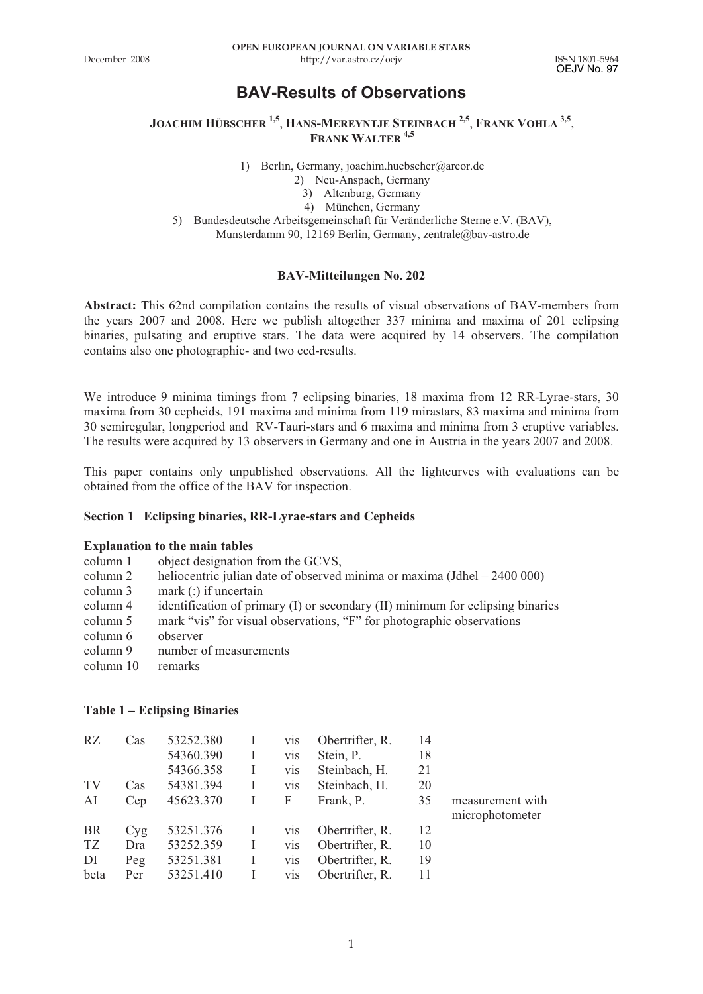OEJV No. 97

## **BAV-Results of Observations**

**JOACHIM HÜBSCHER 1,5**, **HANS-MEREYNTJE STEINBACH 2,5**, **FRANK VOHLA 3,5**, **FRANK WALTER 4,5**

1) Berlin, Germany, joachim.huebscher@arcor.de

- 2) Neu-Anspach, Germany
	- 3) Altenburg, Germany

4) München, Germany

5) Bundesdeutsche Arbeitsgemeinschaft für Veränderliche Sterne e.V. (BAV),

Munsterdamm 90, 12169 Berlin, Germany, zentrale@bav-astro.de

#### **BAV-Mitteilungen No. 202**

**Abstract:** This 62nd compilation contains the results of visual observations of BAV-members from the years 2007 and 2008. Here we publish altogether 337 minima and maxima of 201 eclipsing binaries, pulsating and eruptive stars. The data were acquired by 14 observers. The compilation contains also one photographic- and two ccd-results.

We introduce 9 minima timings from 7 eclipsing binaries, 18 maxima from 12 RR-Lyrae-stars, 30 maxima from 30 cepheids, 191 maxima and minima from 119 mirastars, 83 maxima and minima from 30 semiregular, longperiod and RV-Tauri-stars and 6 maxima and minima from 3 eruptive variables. The results were acquired by 13 observers in Germany and one in Austria in the years 2007 and 2008.

This paper contains only unpublished observations. All the lightcurves with evaluations can be obtained from the office of the BAV for inspection.

#### **Section 1 Eclipsing binaries, RR-Lyrae-stars and Cepheids**

# **Explanation to the main tables**<br>column 1 object designation

- object designation from the GCVS,
- column 2 heliocentric julian date of observed minima or maxima (Jdhel 2400 000) column 3 mark ( $\cdot$ ) if uncertain
- mark  $($ :) if uncertain
- column 4 identification of primary (I) or secondary (II) minimum for eclipsing binaries
- column 5 mark "vis" for visual observations, "F" for photographic observations
- column 6 observer
- column 9 number of measurements
- column 10 remarks

#### **Table 1 – Eclipsing Binaries**

| RZ        | Cas | 53252.380 |   | vis        | Obertrifter, R. | 14 |                  |
|-----------|-----|-----------|---|------------|-----------------|----|------------------|
|           |     | 54360.390 |   | vis        | Stein, P.       | 18 |                  |
|           |     | 54366.358 |   | vis        | Steinbach, H.   | 21 |                  |
| TV        | Cas | 54381.394 |   | vis        | Steinbach, H.   | 20 |                  |
| AI        | Cep | 45623.370 |   | F          | Frank, P.       | 35 | measurement with |
|           |     |           |   |            |                 |    | microphotometer  |
| <b>BR</b> | Cyg | 53251.376 |   | vis        | Obertrifter, R. | 12 |                  |
| TZ        | Dra | 53252.359 | I | vis        | Obertrifter, R. | 10 |                  |
| DI        | Peg | 53251.381 |   | vis        | Obertrifter, R. | 19 |                  |
| beta      | Per | 53251.410 |   | <b>VIS</b> | Obertrifter, R. | 11 |                  |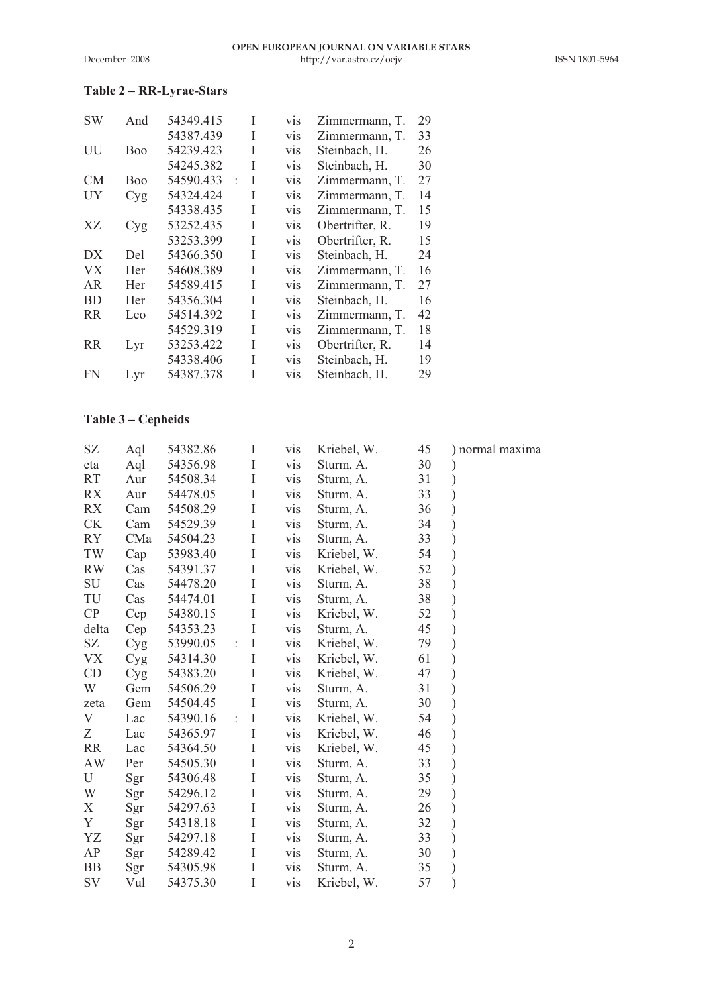#### **Table 2 – RR-Lyrae-Stars**

| <b>SW</b> | And | 54349.415 | I                         | vis | Zimmermann, T.  | 29 |
|-----------|-----|-----------|---------------------------|-----|-----------------|----|
|           |     | 54387.439 | Ī                         | vis | Zimmermann. T.  | 33 |
| UU        | Boo | 54239.423 | Ī                         | vis | Steinbach, H.   | 26 |
|           |     | 54245.382 | Ī                         | vis | Steinbach, H.   | 30 |
| CM        | Boo | 54590.433 | Ī<br>$\ddot{\phantom{0}}$ | vis | Zimmermann, T.  | 27 |
| UY        | Cyg | 54324.424 | Ī                         | vis | Zimmermann, T.  | 14 |
|           |     | 54338.435 | Ī                         | vis | Zimmermann, T.  | 15 |
| XZ        | Cyg | 53252.435 | Ī                         | vis | Obertrifter, R. | 19 |
|           |     | 53253.399 | Ī                         | vis | Obertrifter, R. | 15 |
| DX        | Del | 54366.350 | Ī                         | vis | Steinbach, H.   | 24 |
| <b>VX</b> | Her | 54608.389 | I                         | vis | Zimmermann, T.  | 16 |
| AR        | Her | 54589.415 | Ī                         | vis | Zimmermann, T.  | 27 |
| <b>BD</b> | Her | 54356.304 | Ī                         | vis | Steinbach, H.   | 16 |
| <b>RR</b> | Leo | 54514.392 | Ī                         | vis | Zimmermann. T.  | 42 |
|           |     | 54529.319 | Ī                         | vis | Zimmermann. T.  | 18 |
| RR        | Lyr | 53253.422 | Ī                         | vis | Obertrifter, R. | 14 |
|           |     | 54338.406 | Ī                         | vis | Steinbach, H.   | 19 |
| FN        | Lyr | 54387.378 | Ī                         | vis | Steinbach, H.   | 29 |

## **Table 3 – Cepheids**

| SΖ        | Aql | 54382.86 | Ι                               | vis | Kriebel, W. | 45 | normal maxima |
|-----------|-----|----------|---------------------------------|-----|-------------|----|---------------|
| eta       | Aql | 54356.98 | I                               | vis | Sturm, A.   | 30 |               |
| RT        | Aur | 54508.34 | I                               | vis | Sturm, A.   | 31 |               |
| RX        | Aur | 54478.05 | I                               | vis | Sturm, A.   | 33 |               |
| RX        | Cam | 54508.29 | I                               | vis | Sturm, A.   | 36 |               |
| СK        | Cam | 54529.39 | I                               | vis | Sturm, A.   | 34 |               |
| RY        | CMa | 54504.23 | I                               | vis | Sturm, A.   | 33 |               |
| TW        | Cap | 53983.40 | I                               | vis | Kriebel, W. | 54 |               |
| <b>RW</b> | Cas | 54391.37 | I                               | vis | Kriebel, W. | 52 |               |
| SU        | Cas | 54478.20 | I                               | vis | Sturm, A.   | 38 |               |
| TU        | Cas | 54474.01 | I                               | vis | Sturm, A.   | 38 |               |
| CP        | Cep | 54380.15 | I                               | vis | Kriebel, W. | 52 |               |
| delta     | Cep | 54353.23 | I                               | vis | Sturm, A.   | 45 |               |
| SZ        | Cyg | 53990.05 | I<br>$\ddot{\cdot}$             | vis | Kriebel, W. | 79 |               |
| VX        | Cyg | 54314.30 | I                               | vis | Kriebel, W. | 61 |               |
| CD        | Cyg | 54383.20 | I                               | vis | Kriebel, W. | 47 |               |
| W         | Gem | 54506.29 | I                               | vis | Sturm, A.   | 31 |               |
| zeta      | Gem | 54504.45 | I                               | vis | Sturm, A.   | 30 |               |
| V         | Lac | 54390.16 | $\rm I$<br>$\ddot{\phantom{a}}$ | vis | Kriebel, W. | 54 |               |
| Ζ         | Lac | 54365.97 | I                               | vis | Kriebel, W. | 46 |               |
| RR        | Lac | 54364.50 | I                               | vis | Kriebel, W. | 45 |               |
| AW        | Per | 54505.30 | I                               | vis | Sturm, A.   | 33 |               |
| U         | Sgr | 54306.48 | I                               | vis | Sturm, A.   | 35 |               |
| W         | Sgr | 54296.12 | I                               | vis | Sturm, A.   | 29 |               |
| Х         | Sgr | 54297.63 | I                               | vis | Sturm, A.   | 26 |               |
| Y         | Sgr | 54318.18 | I                               | vis | Sturm, A.   | 32 |               |
| YZ        | Sgr | 54297.18 | Ι                               | vis | Sturm, A.   | 33 |               |
| AP        | Sgr | 54289.42 | I                               | vis | Sturm, A.   | 30 |               |
| BB        | Sgr | 54305.98 | I                               | vis | Sturm, A.   | 35 |               |
| SV        | Vul | 54375.30 | I                               | vis | Kriebel, W. | 57 |               |
|           |     |          |                                 |     |             |    |               |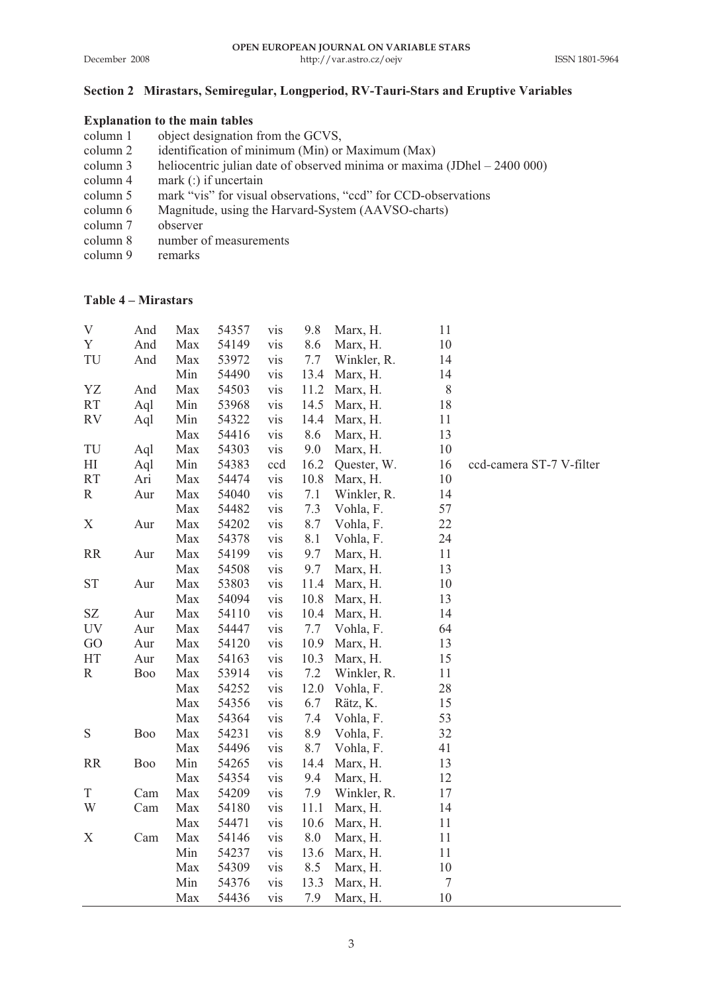## **Section 2 Mirastars, Semiregular, Longperiod, RV-Tauri-Stars and Eruptive Variables**

#### **Explanation to the main tables**

| column 1 | object designation from the GCVS,                                         |
|----------|---------------------------------------------------------------------------|
| column 2 | identification of minimum (Min) or Maximum (Max)                          |
| column 3 | heliocentric julian date of observed minima or maxima (JDhel $-2400000$ ) |
| column 4 | mark $($ :) if uncertain                                                  |
| column 5 | mark "vis" for visual observations, "ccd" for CCD-observations            |
| column 6 | Magnitude, using the Harvard-System (AAVSO-charts)                        |
| column 7 | observer                                                                  |
| column 8 | number of measurements                                                    |
| column 9 | remarks                                                                   |
|          |                                                                           |

## **Table 4 – Mirastars**

|     |     |       | vis   | 9.8  |             |          |                          |
|-----|-----|-------|-------|------|-------------|----------|--------------------------|
| And | Max | 54149 | vis   | 8.6  | Marx, H.    | 10       |                          |
| And | Max | 53972 | vis   | 7.7  | Winkler, R. | 14       |                          |
|     | Min | 54490 | vis   | 13.4 | Marx, H.    | 14       |                          |
| And | Max | 54503 | vis   | 11.2 | Marx, H.    | 8        |                          |
| Aql | Min | 53968 | vis   | 14.5 | Marx, H.    | 18       |                          |
| Aql | Min | 54322 | vis   | 14.4 | Marx, H.    | 11       |                          |
|     | Max | 54416 | vis   | 8.6  | Marx, H.    | 13       |                          |
| Aql | Max | 54303 | vis   | 9.0  | Marx, H.    | 10       |                          |
| Aql | Min | 54383 | ccd   | 16.2 | Quester, W. | 16       | ccd-camera ST-7 V-filter |
| Ari | Max | 54474 | vis   | 10.8 | Marx, H.    | 10       |                          |
| Aur | Max | 54040 | vis   | 7.1  | Winkler, R. | 14       |                          |
|     | Max | 54482 | vis   | 7.3  | Vohla, F.   | 57       |                          |
| Aur | Max | 54202 | vis   | 8.7  | Vohla, F.   | 22       |                          |
|     | Max | 54378 | vis   | 8.1  | Vohla, F.   | 24       |                          |
| Aur | Max | 54199 | vis   | 9.7  | Marx, H.    | 11       |                          |
|     | Max | 54508 | vis   | 9.7  | Marx, H.    | 13       |                          |
| Aur | Max | 53803 | vis   | 11.4 | Marx, H.    | 10       |                          |
|     | Max | 54094 | vis   | 10.8 | Marx, H.    | 13       |                          |
| Aur | Max | 54110 | vis   | 10.4 | Marx, H.    | 14       |                          |
| Aur | Max | 54447 | vis   | 7.7  | Vohla, F.   | 64       |                          |
| Aur | Max | 54120 | vis   | 10.9 | Marx, H.    | 13       |                          |
| Aur | Max | 54163 | vis   | 10.3 | Marx, H.    | 15       |                          |
| Boo | Max | 53914 | vis   | 7.2  | Winkler, R. | 11       |                          |
|     | Max | 54252 | vis   | 12.0 | Vohla, F.   | 28       |                          |
|     | Max | 54356 | vis   | 6.7  | Rätz, K.    | 15       |                          |
|     | Max | 54364 | vis   | 7.4  | Vohla, F.   | 53       |                          |
| Boo | Max | 54231 | vis   | 8.9  | Vohla, F.   | 32       |                          |
|     | Max | 54496 | vis   | 8.7  | Vohla, F.   | 41       |                          |
| Boo | Min | 54265 | vis   | 14.4 | Marx, H.    | 13       |                          |
|     | Max | 54354 | vis   | 9.4  | Marx, H.    | 12       |                          |
| Cam | Max | 54209 | vis   | 7.9  | Winkler, R. | 17       |                          |
| Cam | Max | 54180 | vis   | 11.1 | Marx, H.    | 14       |                          |
|     | Max | 54471 | vis   | 10.6 | Marx, H.    | 11       |                          |
| Cam | Max | 54146 | vis   | 8.0  | Marx, H.    | 11       |                          |
|     | Min | 54237 | vis   | 13.6 | Marx, H.    | 11       |                          |
|     | Max | 54309 | vis   | 8.5  | Marx, H.    | 10       |                          |
|     | Min | 54376 | vis   | 13.3 | Marx, H.    | 7        |                          |
|     | Max | 54436 | vis   | 7.9  | Marx, H.    | 10       |                          |
|     | And | Max   | 54357 |      |             | Marx, H. | 11                       |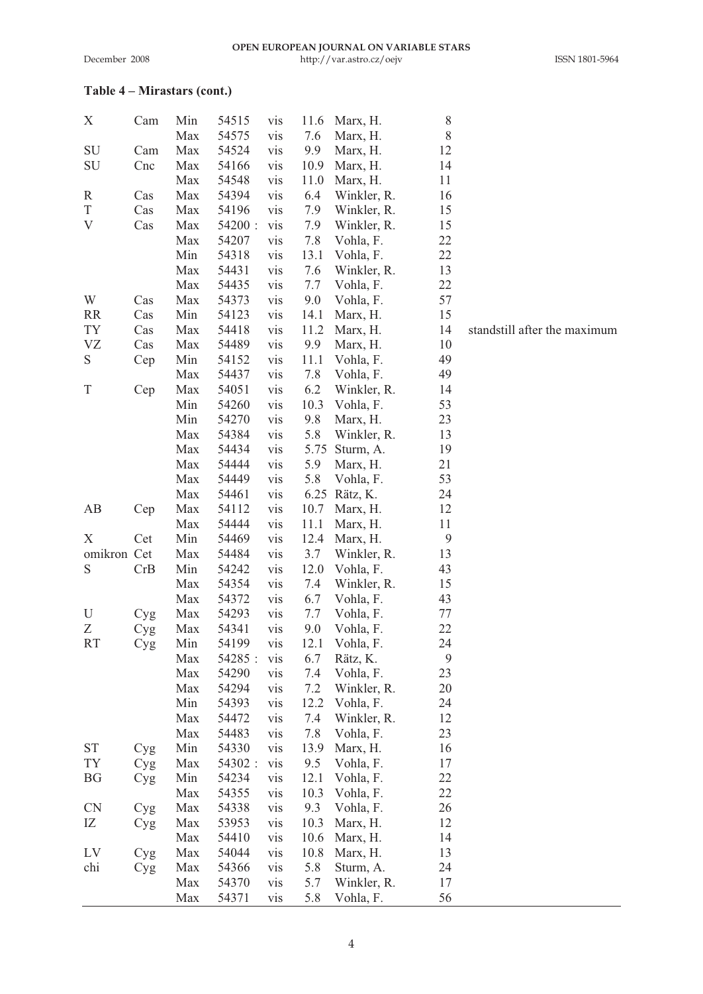#### **Table 4 – Mirastars (cont.)**

| Х           | Cam | Min<br>Max | 54515<br>54575 | vis<br>vis | 11.6<br>7.6 | Marx, H.<br>Marx, H. | 8<br>8 |                              |
|-------------|-----|------------|----------------|------------|-------------|----------------------|--------|------------------------------|
| SU          | Cam | Max        | 54524          | vis        | 9.9         | Marx, H.             | 12     |                              |
| SU          | Cnc | Max        | 54166          | vis        | 10.9        | Marx, H.             | 14     |                              |
|             |     | Max        | 54548          | vis        | 11.0        | Marx, H.             | 11     |                              |
| R           | Cas | Max        | 54394          | vis        | 6.4         | Winkler, R.          | 16     |                              |
| T           | Cas | Max        | 54196          | vis        | 7.9         | Winkler, R.          | 15     |                              |
| V           | Cas | Max        | 54200 :        | vis        | 7.9         | Winkler, R.          | 15     |                              |
|             |     | Max        | 54207          | vis        | 7.8         | Vohla, F.            | 22     |                              |
|             |     | Min        | 54318          | vis        | 13.1        | Vohla, F.            | 22     |                              |
|             |     | Max        | 54431          | vis        | 7.6         | Winkler, R.          | 13     |                              |
|             |     | Max        | 54435          | vis        | 7.7         | Vohla, F.            | 22     |                              |
| W           | Cas | Max        | 54373          | vis        | 9.0         | Vohla, F.            | 57     |                              |
| RR          | Cas | Min        | 54123          | vis        | 14.1        | Marx, H.             | 15     |                              |
| TY          | Cas | Max        | 54418          | vis        | 11.2        | Marx, H.             | 14     | standstill after the maximum |
| VZ          | Cas | Max        | 54489          | vis        | 9.9         | Marx, H.             | 10     |                              |
| S           | Cep | Min        | 54152          | vis        | 11.1        | Vohla, F.            | 49     |                              |
|             |     | Max        | 54437          | vis        | 7.8         | Vohla, F.            | 49     |                              |
| Τ           | Cep | Max        | 54051          | vis        | 6.2         | Winkler, R.          | 14     |                              |
|             |     | Min        | 54260          | vis        | 10.3        | Vohla, F.            | 53     |                              |
|             |     | Min        | 54270          | vis        | 9.8         | Marx, H.             | 23     |                              |
|             |     | Max        | 54384          | vis        | 5.8         | Winkler, R.          | 13     |                              |
|             |     | Max        | 54434          | vis        | 5.75        | Sturm, A.            | 19     |                              |
|             |     | Max        | 54444          | vis        | 5.9         | Marx, H.             | 21     |                              |
|             |     | Max        | 54449          | vis        | 5.8         | Vohla, F.            | 53     |                              |
|             |     | Max        |                |            |             |                      | 24     |                              |
|             |     |            | 54461          | vis        | 6.25        | Rätz, K.             |        |                              |
| АB          | Cep | Max        | 54112          | vis        | 10.7        | Marx, H.             | 12     |                              |
|             |     | Max        | 54444          | vis        | 11.1        | Marx, H.             | 11     |                              |
| Х           | Cet | Min        | 54469          | vis        | 12.4        | Marx, H.             | 9      |                              |
| omikron Cet |     | Max        | 54484          | vis        | 3.7         | Winkler, R.          | 13     |                              |
| S           | CrB | Min        | 54242          | vis        | 12.0        | Vohla, F.            | 43     |                              |
|             |     | Max        | 54354          | vis        | 7.4         | Winkler, R.          | 15     |                              |
|             |     | Max        | 54372          | vis        | 6.7         | Vohla, F.            | 43     |                              |
| U           | Cyg | Max        | 54293          | vis        | 7.7         | Vohla, F.            | 77     |                              |
| Ζ           | Cyg | Max        | 54341          | vis        | 9.0         | Vohla, F.            | 22     |                              |
| <b>RT</b>   | Cyg | Min        | 54199          | vis        | 12.1        | Vohla, F.            | 24     |                              |
|             |     | Max        | 54285:         | vis        | 6.7         | Rätz, K.             | 9      |                              |
|             |     | Max        | 54290          | vis        | 7.4         | Vohla, F.            | 23     |                              |
|             |     | Max        | 54294          | vis        | 7.2         | Winkler, R.          | 20     |                              |
|             |     | Min        | 54393          | vis        | 12.2        | Vohla, F.            | 24     |                              |
|             |     | Max        | 54472          | vis        | 7.4         | Winkler, R.          | 12     |                              |
|             |     | Max        | 54483          | vis        | 7.8         | Vohla, F.            | 23     |                              |
| <b>ST</b>   | Cyg | Min        | 54330          | vis        | 13.9        | Marx, H.             | 16     |                              |
| TY          | Cyg | Max        | 54302:         | vis        | 9.5         | Vohla, F.            | 17     |                              |
| ΒG          | Cyg | Min        | 54234          | vis        | 12.1        | Vohla, F.            | 22     |                              |
|             |     | Max        | 54355          | vis        | 10.3        | Vohla, F.            | 22     |                              |
| CN          | Cyg | Max        | 54338          | vis        | 9.3         | Vohla, F.            | 26     |                              |
| IZ          | Cyg | Max        | 53953          | vis        | 10.3        | Marx, H.             | 12     |                              |
|             |     | Max        | 54410          | vis        | 10.6        | Marx, H.             | 14     |                              |
| LV          | Cyg | Max        | 54044          | vis        | 10.8        | Marx, H.             | 13     |                              |
| chi         | Cyg | Max        | 54366          | vis        | 5.8         | Sturm, A.            | 24     |                              |
|             |     | Max        | 54370          | vis        | 5.7         | Winkler, R.          | 17     |                              |
|             |     | Max        | 54371          | vis        | 5.8         | Vohla, F.            | 56     |                              |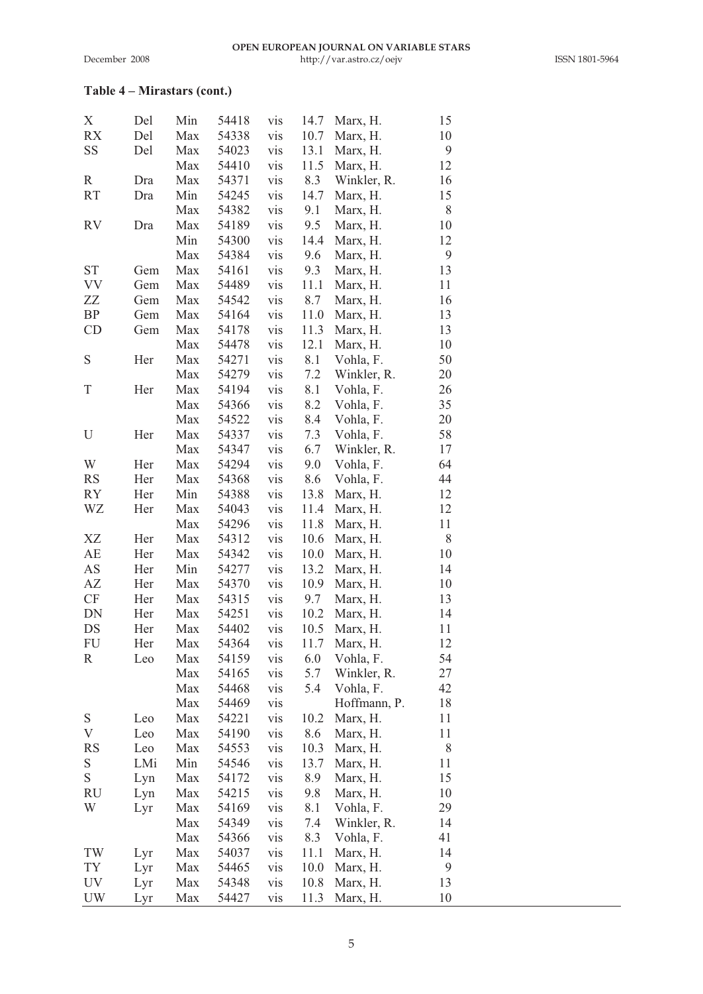## **Table 4 – Mirastars (cont.)**

| Х         | Del | Min | 54418 | vis        | 14.7 | Marx, H.     | 15 |  |
|-----------|-----|-----|-------|------------|------|--------------|----|--|
| RX        | Del | Max | 54338 | vis        | 10.7 | Marx, H.     | 10 |  |
| SS        | Del | Max | 54023 | vis        | 13.1 | Marx, H.     | 9  |  |
|           |     | Max | 54410 | vis        | 11.5 | Marx, H.     | 12 |  |
| R         | Dra | Max | 54371 | vis        | 8.3  | Winkler, R.  | 16 |  |
| RT        | Dra | Min | 54245 | vis        | 14.7 | Marx, H.     | 15 |  |
|           |     | Max | 54382 | vis        | 9.1  | Marx, H.     | 8  |  |
| RV        | Dra | Max | 54189 | vis        | 9.5  | Marx, H.     | 10 |  |
|           |     | Min | 54300 | vis        | 14.4 | Marx, H.     | 12 |  |
|           |     | Max | 54384 | vis        | 9.6  | Marx, H.     | 9  |  |
| ST        | Gem | Max | 54161 | vis        | 9.3  | Marx, H.     | 13 |  |
| VV        | Gem | Max | 54489 | vis        | 11.1 | Marx, H.     | 11 |  |
| ZZ        | Gem | Max | 54542 | vis        | 8.7  | Marx, H.     | 16 |  |
| BP        | Gem | Max | 54164 | vis        | 11.0 | Marx, H.     | 13 |  |
| CD        | Gem | Max | 54178 | vis        | 11.3 | Marx, H.     | 13 |  |
|           |     | Max | 54478 | vis        | 12.1 | Marx, H.     | 10 |  |
| S         | Her | Max | 54271 | vis        | 8.1  | Vohla, F.    | 50 |  |
|           |     | Max | 54279 | vis        | 7.2  | Winkler, R.  | 20 |  |
| T         | Her | Max | 54194 | vis        | 8.1  | Vohla, F.    | 26 |  |
|           |     | Max | 54366 | vis        | 8.2  | Vohla, F.    | 35 |  |
|           |     | Max | 54522 | vis        | 8.4  | Vohla, F.    | 20 |  |
|           | Her | Max | 54337 | vis        | 7.3  |              | 58 |  |
| U         |     |     |       |            |      | Vohla, F.    | 17 |  |
| W         |     | Max | 54347 | vis<br>vis | 6.7  | Winkler, R.  |    |  |
|           | Her | Max | 54294 |            | 9.0  | Vohla, F.    | 64 |  |
| RS        | Her | Max | 54368 | vis        | 8.6  | Vohla, F.    | 44 |  |
| RY        | Her | Min | 54388 | vis        | 13.8 | Marx, H.     | 12 |  |
| WZ        | Her | Max | 54043 | vis        | 11.4 | Marx, H.     | 12 |  |
|           |     | Max | 54296 | vis        | 11.8 | Marx, H.     | 11 |  |
| XZ        | Her | Max | 54312 | vis        | 10.6 | Marx, H.     | 8  |  |
| AE        | Her | Max | 54342 | vis        | 10.0 | Marx, H.     | 10 |  |
| AS        | Her | Min | 54277 | vis        | 13.2 | Marx, H.     | 14 |  |
| AZ        | Her | Max | 54370 | vis        | 10.9 | Marx, H.     | 10 |  |
| CF        | Her | Max | 54315 | vis        | 9.7  | Marx, H.     | 13 |  |
| DN        | Her | Max | 54251 | vis        | 10.2 | Marx, H.     | 14 |  |
| DS        | Her | Max | 54402 | vis        | 10.5 | Marx, H.     | 11 |  |
| FU        | Her | Max | 54364 | vis        | 11.7 | Marx, H.     | 12 |  |
| R         | Leo | Max | 54159 | vis        | 6.0  | Vohla, F.    | 54 |  |
|           |     | Max | 54165 | vis        | 5.7  | Winkler, R.  | 27 |  |
|           |     | Max | 54468 | vis        | 5.4  | Vohla, F.    | 42 |  |
|           |     | Max | 54469 | vis        |      | Hoffmann, P. | 18 |  |
| S         | Leo | Max | 54221 | vis        | 10.2 | Marx, H.     | 11 |  |
| V         | Leo | Max | 54190 | vis        | 8.6  | Marx, H.     | 11 |  |
| <b>RS</b> | Leo | Max | 54553 | vis        | 10.3 | Marx, H.     | 8  |  |
| S         | LMi | Min | 54546 | vis        | 13.7 | Marx, H.     | 11 |  |
| S         | Lyn | Max | 54172 | vis        | 8.9  | Marx, H.     | 15 |  |
| RU        | Lyn | Max | 54215 | vis        | 9.8  | Marx, H.     | 10 |  |
| W         | Lyr | Max | 54169 | vis        | 8.1  | Vohla, F.    | 29 |  |
|           |     | Max | 54349 | vis        | 7.4  | Winkler, R.  | 14 |  |
|           |     | Max | 54366 | vis        | 8.3  | Vohla, F.    | 41 |  |
| TW        | Lyr | Max | 54037 | vis        | 11.1 | Marx, H.     | 14 |  |
| TY        | Lyr | Max | 54465 | vis        | 10.0 | Marx, H.     | 9  |  |
| UV        | Lyr | Max | 54348 | vis        | 10.8 | Marx, H.     | 13 |  |
| UW        | Lyr | Max | 54427 | vis        | 11.3 | Marx, H.     | 10 |  |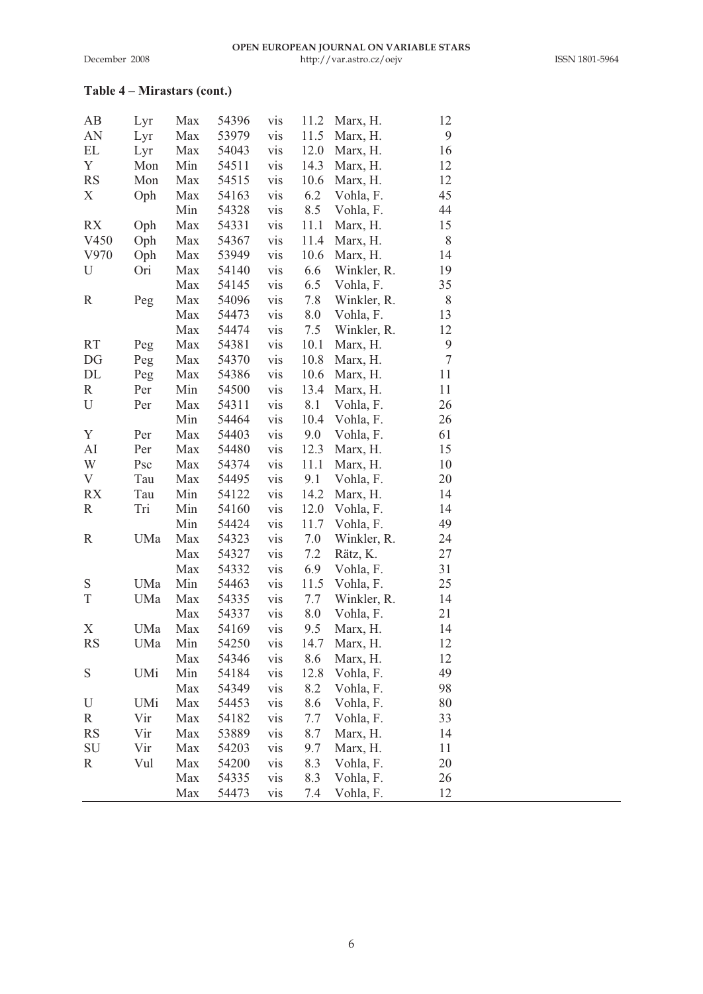## **Table 4 – Mirastars (cont.)**

| AB        | Lyr | Max | 54396 | vis | 11.2 | Marx, H.    | 12     |  |
|-----------|-----|-----|-------|-----|------|-------------|--------|--|
| AN        | Lyr | Max | 53979 | vis | 11.5 | Marx, H.    | 9      |  |
| EL        | Lyr | Max | 54043 | vis | 12.0 | Marx, H.    | 16     |  |
| Y         | Mon | Min | 54511 | vis | 14.3 | Marx, H.    | 12     |  |
| <b>RS</b> | Mon | Max | 54515 | vis | 10.6 | Marx, H.    | 12     |  |
| X         | Oph | Max | 54163 | vis | 6.2  | Vohla, F.   | 45     |  |
|           |     | Min | 54328 | vis | 8.5  | Vohla, F.   | 44     |  |
| RX        | Oph | Max | 54331 | vis | 11.1 | Marx, H.    | 15     |  |
| V450      | Oph | Max | 54367 | vis | 11.4 | Marx, H.    | 8      |  |
| V970      | Oph | Max | 53949 | vis | 10.6 | Marx, H.    | 14     |  |
| U         | Ori | Max | 54140 | vis | 6.6  | Winkler, R. | 19     |  |
|           |     | Max | 54145 | vis | 6.5  | Vohla, F.   | 35     |  |
| R         | Peg | Max | 54096 | vis | 7.8  | Winkler, R. | 8      |  |
|           |     | Max | 54473 | vis | 8.0  | Vohla, F.   | 13     |  |
|           |     | Max | 54474 | vis | 7.5  | Winkler, R. | 12     |  |
| RT        | Peg | Max | 54381 | vis | 10.1 | Marx, H.    | 9      |  |
| DG        | Peg | Max | 54370 | vis | 10.8 | Marx, H.    | $\tau$ |  |
| DL        | Peg | Max | 54386 | vis | 10.6 | Marx, H.    | 11     |  |
| R         | Per | Min | 54500 | vis | 13.4 | Marx, H.    | 11     |  |
| U         | Per | Max | 54311 | vis | 8.1  | Vohla, F.   | 26     |  |
|           |     | Min | 54464 | vis | 10.4 | Vohla, F.   | 26     |  |
| Υ         | Per | Max | 54403 | vis | 9.0  | Vohla, F.   | 61     |  |
| AI        | Per | Max | 54480 | vis | 12.3 | Marx, H.    | 15     |  |
| W         | Psc | Max | 54374 | vis | 11.1 | Marx, H.    | 10     |  |
| V         | Tau | Max | 54495 | vis | 9.1  | Vohla, F.   | 20     |  |
| RX        | Tau | Min | 54122 | vis | 14.2 | Marx, H.    | 14     |  |
| R         | Tri | Min | 54160 | vis | 12.0 | Vohla, F.   | 14     |  |
|           |     | Min | 54424 | vis | 11.7 | Vohla, F.   | 49     |  |
| R         | UMa | Max | 54323 | vis | 7.0  | Winkler, R. | 24     |  |
|           |     | Max | 54327 | vis | 7.2  | Rätz, K.    | 27     |  |
|           |     | Max | 54332 | vis | 6.9  | Vohla, F.   | 31     |  |
| S         | UMa | Min | 54463 | vis | 11.5 | Vohla, F.   | 25     |  |
| T         | UMa | Max | 54335 | vis | 7.7  | Winkler, R. | 14     |  |
|           |     | Max | 54337 | vis | 8.0  | Vohla, F.   | 21     |  |
| Х         | UMa | Max | 54169 | vis | 9.5  | Marx, H.    | 14     |  |
| <b>RS</b> | UMa | Min | 54250 | vis | 14.7 | Marx, H.    | 12     |  |
|           |     | Max | 54346 | vis | 8.6  | Marx, H.    | 12     |  |
| S         | UMi | Min | 54184 | vis | 12.8 | Vohla, F.   | 49     |  |
|           |     | Max | 54349 | vis | 8.2  | Vohla, F.   | 98     |  |
| U         | UMi | Max | 54453 | vis | 8.6  | Vohla, F.   | 80     |  |
| R         | Vir | Max | 54182 | vis | 7.7  | Vohla, F.   | 33     |  |
| <b>RS</b> | Vir | Max | 53889 | vis | 8.7  | Marx, H.    | 14     |  |
| SU        | Vir | Max | 54203 | vis | 9.7  | Marx, H.    | 11     |  |
| R         | Vul | Max | 54200 | vis | 8.3  | Vohla, F.   | 20     |  |
|           |     | Max | 54335 | vis | 8.3  | Vohla, F.   | 26     |  |
|           |     | Max | 54473 | vis | 7.4  | Vohla, F.   | 12     |  |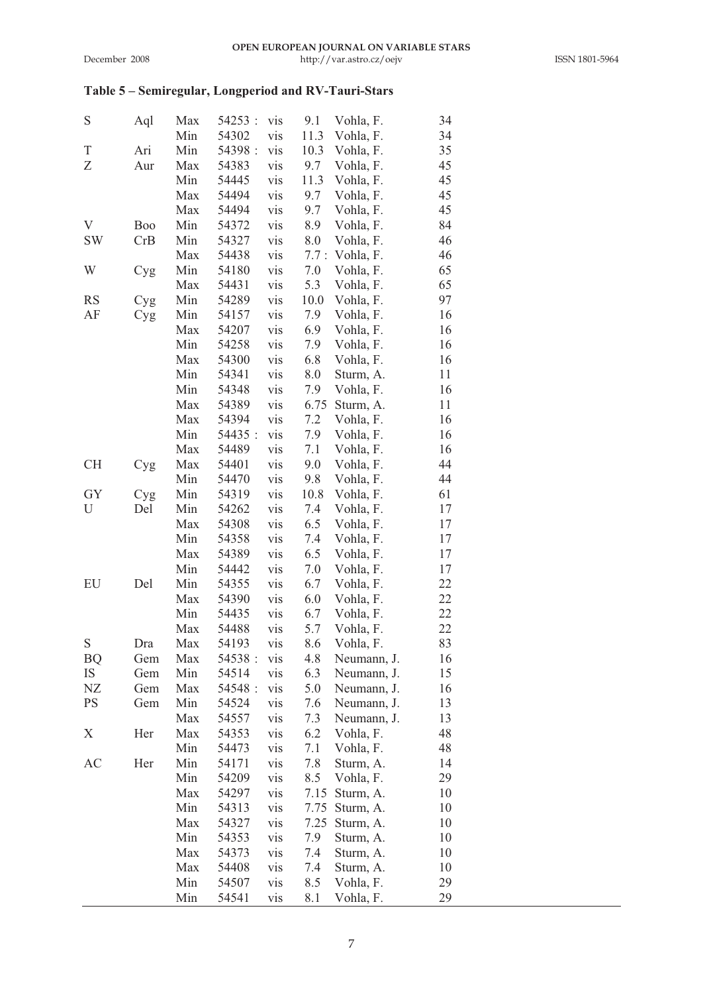## **Table 5 – Semiregular, Longperiod and RV-Tauri-Stars**

| S  | Aql | Max | 54253 : | vis | 9.1  | Vohla, F.   | 34 |
|----|-----|-----|---------|-----|------|-------------|----|
|    |     | Min | 54302   | vis | 11.3 | Vohla, F.   | 34 |
| Τ  | Ari | Min | 54398 : | vis | 10.3 | Vohla, F.   | 35 |
| Ζ  | Aur | Max | 54383   | vis | 9.7  | Vohla, F.   | 45 |
|    |     | Min | 54445   | vis | 11.3 | Vohla, F.   | 45 |
|    |     | Max | 54494   | vis | 9.7  | Vohla, F.   | 45 |
|    |     | Max | 54494   | vis | 9.7  | Vohla, F.   | 45 |
| V  | Boo | Min | 54372   | vis | 8.9  | Vohla, F.   | 84 |
| SW | CrB | Min | 54327   | vis | 8.0  | Vohla, F.   | 46 |
|    |     | Max | 54438   | vis | 7.7: | Vohla, F.   | 46 |
| W  | Cyg | Min | 54180   | vis | 7.0  | Vohla, F.   | 65 |
|    |     | Max | 54431   | vis | 5.3  | Vohla, F.   | 65 |
| RS | Cyg | Min | 54289   | vis | 10.0 | Vohla, F.   | 97 |
| AF |     | Min | 54157   | vis | 7.9  | Vohla, F.   | 16 |
|    | Cyg | Max | 54207   | vis | 6.9  | Vohla, F.   | 16 |
|    |     | Min | 54258   | vis | 7.9  | Vohla, F.   | 16 |
|    |     | Max | 54300   | vis | 6.8  | Vohla, F.   | 16 |
|    |     | Min | 54341   |     | 8.0  |             | 11 |
|    |     |     |         | vis |      | Sturm, A.   |    |
|    |     | Min | 54348   | vis | 7.9  | Vohla, F.   | 16 |
|    |     | Max | 54389   | vis | 6.75 | Sturm, A.   | 11 |
|    |     | Max | 54394   | vis | 7.2  | Vohla, F.   | 16 |
|    |     | Min | 54435:  | vis | 7.9  | Vohla, F.   | 16 |
|    |     | Max | 54489   | vis | 7.1  | Vohla, F.   | 16 |
| СH | Cyg | Max | 54401   | vis | 9.0  | Vohla, F.   | 44 |
|    |     | Min | 54470   | vis | 9.8  | Vohla, F.   | 44 |
| GY | Cyg | Min | 54319   | vis | 10.8 | Vohla, F.   | 61 |
| U  | Del | Min | 54262   | vis | 7.4  | Vohla, F.   | 17 |
|    |     | Max | 54308   | vis | 6.5  | Vohla, F.   | 17 |
|    |     | Min | 54358   | vis | 7.4  | Vohla, F.   | 17 |
|    |     | Max | 54389   | vis | 6.5  | Vohla, F.   | 17 |
|    |     | Min | 54442   | vis | 7.0  | Vohla, F.   | 17 |
| EU | Del | Min | 54355   | vis | 6.7  | Vohla, F.   | 22 |
|    |     | Max | 54390   | vis | 6.0  | Vohla, F.   | 22 |
|    |     | Min | 54435   | vis | 6.7  | Vohla, F.   | 22 |
|    |     | Max | 54488   | vis | 5.7  | Vohla, F.   | 22 |
| S  | Dra | Max | 54193   | vis | 8.6  | Vohla, F.   | 83 |
| ВQ | Gem | Max | 54538 : | vis | 4.8  | Neumann, J. | 16 |
| IS | Gem | Min | 54514   | vis | 6.3  | Neumann, J. | 15 |
| NΖ | Gem | Max | 54548 : | vis | 5.0  | Neumann, J. | 16 |
| PS | Gem | Min | 54524   | vis | 7.6  | Neumann, J. | 13 |
|    |     | Max | 54557   | vis | 7.3  | Neumann, J. | 13 |
| Χ  | Her | Max | 54353   | vis | 6.2  | Vohla, F.   | 48 |
|    |     | Min | 54473   | vis | 7.1  | Vohla, F.   | 48 |
| AC | Her | Min | 54171   | vis | 7.8  | Sturm, A.   | 14 |
|    |     | Min | 54209   | vis | 8.5  | Vohla, F.   | 29 |
|    |     | Max | 54297   | vis | 7.15 | Sturm, A.   | 10 |
|    |     | Min | 54313   | vis | 7.75 | Sturm, A.   | 10 |
|    |     | Max | 54327   | vis | 7.25 | Sturm, A.   | 10 |
|    |     | Min | 54353   | vis | 7.9  | Sturm, A.   | 10 |
|    |     | Max | 54373   | vis | 7.4  | Sturm, A.   | 10 |
|    |     | Max | 54408   | vis | 7.4  | Sturm, A.   | 10 |
|    |     | Min | 54507   | vis | 8.5  | Vohla, F.   | 29 |
|    |     | Min | 54541   | vis | 8.1  | Vohla, F.   | 29 |
|    |     |     |         |     |      |             |    |